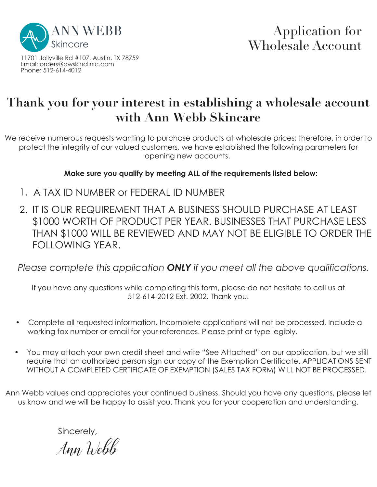

11701 Jollyville Rd #107, Austin, TX 78759 Email: orders@awskinclinic.com Phone: 512-614-4012

## **Thank you for your interest in establishing a wholesale account with Ann Webb Skincare**

We receive numerous requests wanting to purchase products at wholesale prices; therefore, in order to protect the integrity of our valued customers, we have established the following parameters for opening new accounts.

**Make sure you qualify by meeting ALL of the requirements listed below:**

- 1. A TAX ID NUMBER or FEDERAL ID NUMBER
- 2. IT IS OUR REQUIREMENT THAT A BUSINESS SHOULD PURCHASE AT LEAST \$1000 WORTH OF PRODUCT PER YEAR. BUSINESSES THAT PURCHASE LESS THAN \$1000 WILL BE REVIEWED AND MAY NOT BE ELIGIBLE TO ORDER THE FOLLOWING YEAR.

*Please complete this application ONLY if you meet all the above qualifications.*

If you have any questions while completing this form, please do not hesitate to call us at 512-614-2012 Ext. 2002. Thank you!

- Complete all requested information. Incomplete applications will not be processed. Include a working fax number or email for your references. Please print or type legibly.
- You may attach your own credit sheet and write "See Attached" on our application, but we still require that an authorized person sign our copy of the Exemption Certificate. APPLICATIONS SENT WITHOUT A COMPLETED CERTIFICATE OF EXEMPTION (SALES TAX FORM) WILL NOT BE PROCESSED.

Ann Webb values and appreciates your continued business. Should you have any questions, please let us know and we will be happy to assist you. Thank you for your cooperation and understanding.

Sincerely,

Ann Webb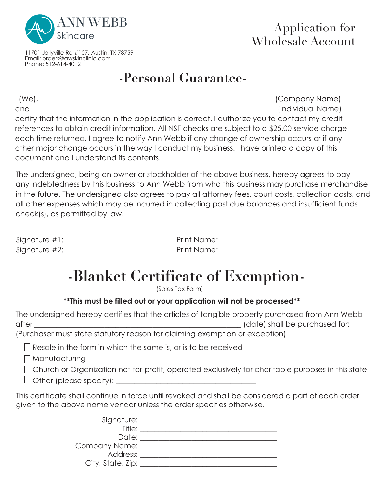

11701 Jollyville Rd #107, Austin, TX 78759 Email: orders@awskinclinic.com Phone: 512-614-4012

# **-Personal Guarantee-**

I (We), \_\_\_\_\_\_\_\_\_\_\_\_\_\_\_\_\_\_\_\_\_\_\_\_\_\_\_\_\_\_\_\_\_\_\_\_\_\_\_\_\_\_\_\_\_\_\_\_\_\_\_\_\_\_\_\_\_\_\_\_\_\_\_ (Company Name) and  $\Box$  and  $\Box$  and  $\Box$  and  $\Box$  and  $\Box$  (Individual Name) certify that the information in the application is correct. I authorize you to contact my credit references to obtain credit information. All NSF checks are subject to a \$25.00 service charge each time returned. I agree to notify Ann Webb if any change of ownership occurs or if any other major change occurs in the way I conduct my business. I have printed a copy of this document and I understand its contents.

The undersigned, being an owner or stockholder of the above business, hereby agrees to pay any indebtedness by this business to Ann Webb from who this business may purchase merchandise in the future. The undersigned also agrees to pay all attorney fees, court costs, collection costs, and all other expenses which may be incurred in collecting past due balances and insufficient funds check(s), as permitted by law.

| Signature $#1$ : | Print Name: |
|------------------|-------------|
| Signature #2:    | Print Name: |

# **-Blanket Certificate of Exemption-**

(Sales Tax Form)

## **\*\*This must be filled out or your application will not be processed\*\***

The undersigned hereby certifies that the articles of tangible property purchased from Ann Webb after  $\Box$  after  $\Box$  and  $\Box$  are  $\Box$  (date) shall be purchased for:

(Purchaser must state statutory reason for claiming exemption or exception)

 $\Box$  Resale in the form in which the same is, or is to be received

Manufacturing

 $\Box$  Church or Organization not-for-profit, operated exclusively for charitable purposes in this state

 $\Box$  Other (please specify):  $\Box$ 

This certificate shall continue in force until revoked and shall be considered a part of each order given to the above name vendor unless the order specifies otherwise.

| Signature: _____    |  |
|---------------------|--|
| Title:              |  |
| Date:               |  |
| Company Name: _____ |  |
| Address:            |  |
| City, State, Zip:   |  |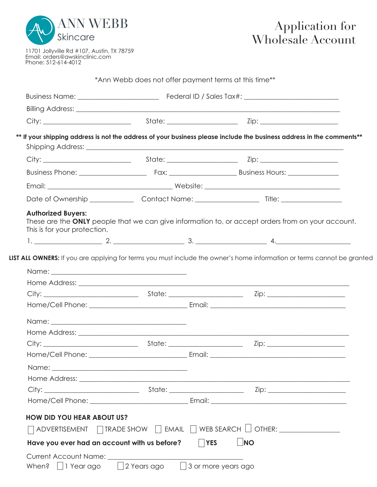

11701 Jollyville Rd #107, Austin, TX 78759 Email: orders@awskinclinic.com Phone: 512-614-4012

|                                                                                   |  |            | Billing Address: Note that the contract of the contract of the contract of the contract of the contract of the          |  |
|-----------------------------------------------------------------------------------|--|------------|-------------------------------------------------------------------------------------------------------------------------|--|
|                                                                                   |  |            |                                                                                                                         |  |
|                                                                                   |  |            | ** If your shipping address is not the address of your business please include the business address in the comments**   |  |
|                                                                                   |  |            |                                                                                                                         |  |
|                                                                                   |  |            |                                                                                                                         |  |
|                                                                                   |  |            |                                                                                                                         |  |
|                                                                                   |  |            |                                                                                                                         |  |
|                                                                                   |  |            |                                                                                                                         |  |
| <b>Authorized Buyers:</b>                                                         |  |            |                                                                                                                         |  |
| This is for your protection.                                                      |  |            | These are the ONLY people that we can give information to, or accept orders from on your account.                       |  |
|                                                                                   |  |            |                                                                                                                         |  |
|                                                                                   |  |            |                                                                                                                         |  |
|                                                                                   |  |            |                                                                                                                         |  |
|                                                                                   |  |            | LIST ALL OWNERS: If you are applying for terms you must include the owner's home information or terms cannot be granted |  |
|                                                                                   |  |            |                                                                                                                         |  |
|                                                                                   |  |            |                                                                                                                         |  |
|                                                                                   |  |            |                                                                                                                         |  |
|                                                                                   |  |            |                                                                                                                         |  |
|                                                                                   |  |            |                                                                                                                         |  |
|                                                                                   |  |            |                                                                                                                         |  |
|                                                                                   |  |            |                                                                                                                         |  |
|                                                                                   |  |            |                                                                                                                         |  |
|                                                                                   |  |            |                                                                                                                         |  |
|                                                                                   |  |            |                                                                                                                         |  |
|                                                                                   |  |            |                                                                                                                         |  |
|                                                                                   |  |            |                                                                                                                         |  |
|                                                                                   |  |            |                                                                                                                         |  |
|                                                                                   |  |            |                                                                                                                         |  |
| <b>HOW DID YOU HEAR ABOUT US?</b><br>Have you ever had an account with us before? |  | <b>YES</b> | $\Box$ NO                                                                                                               |  |